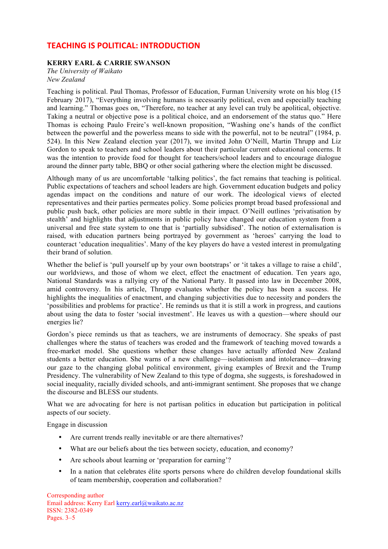## **TEACHING IS POLITICAL: INTRODUCTION**

## **KERRY EARL & CARRIE SWANSON**

*The University of Waikato New Zealand*

Teaching is political. Paul Thomas, Professor of Education, Furman University wrote on his blog (15 February 2017), "Everything involving humans is necessarily political, even and especially teaching and learning." Thomas goes on, "Therefore, no teacher at any level can truly be apolitical, objective. Taking a neutral or objective pose is a political choice, and an endorsement of the status quo." Here Thomas is echoing Paulo Freire's well-known proposition, "Washing one's hands of the conflict between the powerful and the powerless means to side with the powerful, not to be neutral" (1984, p. 524). In this New Zealand election year (2017), we invited John O'Neill, Martin Thrupp and Liz Gordon to speak to teachers and school leaders about their particular current educational concerns. It was the intention to provide food for thought for teachers/school leaders and to encourage dialogue around the dinner party table, BBQ or other social gathering where the election might be discussed.

Although many of us are uncomfortable 'talking politics', the fact remains that teaching is political. Public expectations of teachers and school leaders are high. Government education budgets and policy agendas impact on the conditions and nature of our work. The ideological views of elected representatives and their parties permeates policy. Some policies prompt broad based professional and public push back, other policies are more subtle in their impact. O'Neill outlines 'privatisation by stealth' and highlights that adjustments in public policy have changed our education system from a universal and free state system to one that is 'partially subsidised'. The notion of externalisation is raised, with education partners being portrayed by government as 'heroes' carrying the load to counteract 'education inequalities'. Many of the key players do have a vested interest in promulgating their brand of solution.

Whether the belief is 'pull yourself up by your own bootstraps' or 'it takes a village to raise a child', our worldviews, and those of whom we elect, effect the enactment of education. Ten years ago, National Standards was a rallying cry of the National Party. It passed into law in December 2008, amid controversy. In his article, Thrupp evaluates whether the policy has been a success. He highlights the inequalities of enactment, and changing subjectivities due to necessity and ponders the 'possibilities and problems for practice'. He reminds us that it is still a work in progress, and cautions about using the data to foster 'social investment'. He leaves us with a question—where should our energies lie?

Gordon's piece reminds us that as teachers, we are instruments of democracy. She speaks of past challenges where the status of teachers was eroded and the framework of teaching moved towards a free-market model. She questions whether these changes have actually afforded New Zealand students a better education. She warns of a new challenge—isolationism and intolerance—drawing our gaze to the changing global political environment, giving examples of Brexit and the Trump Presidency. The vulnerability of New Zealand to this type of dogma, she suggests, is foreshadowed in social inequality, racially divided schools, and anti-immigrant sentiment. She proposes that we change the discourse and BLESS our students.

What we are advocating for here is not partisan politics in education but participation in political aspects of our society.

Engage in discussion

- Are current trends really inevitable or are there alternatives?
- What are our beliefs about the ties between society, education, and economy?
- Are schools about learning or 'preparation for earning'?
- In a nation that celebrates élite sports persons where do children develop foundational skills of team membership, cooperation and collaboration?

Corresponding author Email address: Kerry Earl kerry.earl@waikato.ac.nz ISSN: 2382-0349 Pages. 3–5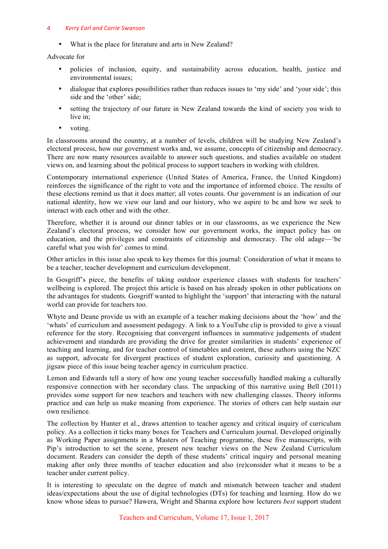## *4 Kerry Earl and Carrie Swanson*

• What is the place for literature and arts in New Zealand?

Advocate for

- policies of inclusion, equity, and sustainability across education, health, justice and environmental issues;
- dialogue that explores possibilities rather than reduces issues to 'my side' and 'your side'; this side and the 'other' side;
- setting the trajectory of our future in New Zealand towards the kind of society you wish to live in;
- voting.

In classrooms around the country, at a number of levels, children will be studying New Zealand's electoral process, how our government works and, we assume, concepts of citizenship and democracy. There are now many resources available to answer such questions, and studies available on student views on, and learning about the political process to support teachers in working with children.

Contemporary international experience (United States of America, France, the United Kingdom) reinforces the significance of the right to vote and the importance of informed choice. The results of these elections remind us that it does matter; all votes counts. Our government is an indication of our national identity, how we view our land and our history, who we aspire to be and how we seek to interact with each other and with the other.

Therefore, whether it is around our dinner tables or in our classrooms, as we experience the New Zealand's electoral process, we consider how our government works, the impact policy has on education, and the privileges and constraints of citizenship and democracy. The old adage—'be careful what you wish for' comes to mind.

Other articles in this issue also speak to key themes for this journal: Consideration of what it means to be a teacher, teacher development and curriculum development.

In Gosgriff's piece, the benefits of taking outdoor experience classes with students for teachers' wellbeing is explored. The project this article is based on has already spoken in other publications on the advantages for students. Gosgriff wanted to highlight the 'support' that interacting with the natural world can provide for teachers too.

Whyte and Deane provide us with an example of a teacher making decisions about the 'how' and the 'whats' of curriculum and assessment pedagogy. A link to a YouTube clip is provided to give a visual reference for the story. Recognising that convergent influences in summative judgements of student achievement and standards are providing the drive for greater similarities in students' experience of teaching and learning, and for teacher control of timetables and content, these authors using the NZC as support, advocate for divergent practices of student exploration, curiosity and questioning. A jigsaw piece of this issue being teacher agency in curriculum practice.

Lemon and Edwards tell a story of how one young teacher successfully handled making a culturally responsive connection with her secondary class. The unpacking of this narrative using Bell (2011) provides some support for new teachers and teachers with new challenging classes. Theory informs practice and can help us make meaning from experience. The stories of others can help sustain our own resilience.

The collection by Hunter et al., draws attention to teacher agency and critical inquiry of curriculum policy. As a collection it ticks many boxes for Teachers and Curriculum journal. Developed originally as Working Paper assignments in a Masters of Teaching programme, these five manuscripts, with Pip's introduction to set the scene, present new teacher views on the New Zealand Curriculum document. Readers can consider the depth of these students' critical inquiry and personal meaning making after only three months of teacher education and also (re)consider what it means to be a teacher under current policy.

It is interesting to speculate on the degree of match and mismatch between teacher and student ideas/expectations about the use of digital technologies (DTs) for teaching and learning. How do we know whose ideas to pursue? Hawera, Wright and Sharma explore how lecturers *best* support student